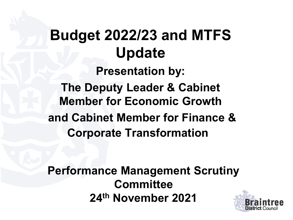# **Budget 2022/23 and MTFS Update Presentation by: The Deputy Leader & Cabinet Member for Economic Growth and Cabinet Member for Finance & Corporate Transformation**

**Performance Management Scrutiny Committee 24th November 2021**

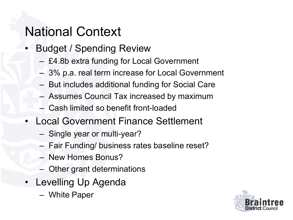# National Context

- Budget / Spending Review
	- £4.8b extra funding for Local Government
	- 3% p.a. real term increase for Local Government
	- But includes additional funding for Social Care
	- Assumes Council Tax increased by maximum
	- Cash limited so benefit front-loaded
- Local Government Finance Settlement
	- Single year or multi-year?
	- Fair Funding/ business rates baseline reset?
	- New Homes Bonus?
	- Other grant determinations
- Levelling Up Agenda
	- White Paper

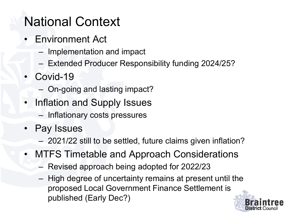# National Context

- Environment Act
	- Implementation and impact
	- Extended Producer Responsibility funding 2024/25?
- Covid-19
	- On-going and lasting impact?
- Inflation and Supply Issues
	- Inflationary costs pressures
- Pay Issues
	- 2021/22 still to be settled, future claims given inflation?
- MTFS Timetable and Approach Considerations
	- Revised approach being adopted for 2022/23
	- High degree of uncertainty remains at present until the proposed Local Government Finance Settlement is published (Early Dec?)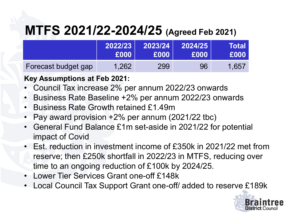# **MTFS 2021/22-2024/25 (Agreed Feb 2021)**

|                     | 2022/23 | 2023/24 | 2024/25 | Total |
|---------------------|---------|---------|---------|-------|
|                     | £000    | £000    | £000    | E000  |
| Forecast budget gap | 1,262   | 299     | 96      | 1.657 |

#### **Key Assumptions at Feb 2021:**

- Council Tax increase 2% per annum 2022/23 onwards
- Business Rate Baseline +2% per annum 2022/23 onwards
- Business Rate Growth retained £1.49m
- Pay award provision +2% per annum (2021/22 tbc)
- General Fund Balance £1m set-aside in 2021/22 for potential impact of Covid
- Est. reduction in investment income of £350k in 2021/22 met from reserve; then £250k shortfall in 2022/23 in MTFS, reducing over time to an ongoing reduction of £100k by 2024/25.
- Lower Tier Services Grant one-off £148k
- Local Council Tax Support Grant one-off/ added to reserve £189k

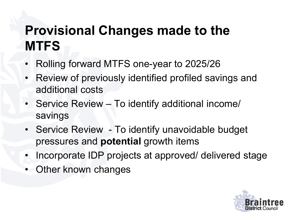# **Provisional Changes made to the MTFS**

- Rolling forward MTFS one-year to 2025/26
- Review of previously identified profiled savings and additional costs
- Service Review To identify additional income/ savings
- Service Review To identify unavoidable budget pressures and **potential** growth items
- Incorporate IDP projects at approved/ delivered stage
- Other known changes

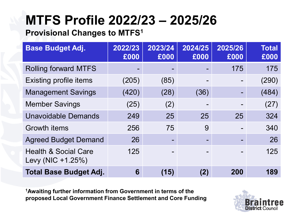# **MTFS Profile 2022/23 – 2025/26**

#### **Provisional Changes to MTFS1**

| <b>Base Budget Adj.</b>                              | 2022/23<br>£000          | 2023/24<br>£000 | 2024/25<br>£000 | 2025/26<br>£000 | <b>Total</b><br>£000 |
|------------------------------------------------------|--------------------------|-----------------|-----------------|-----------------|----------------------|
| <b>Rolling forward MTFS</b>                          | $\overline{\phantom{0}}$ |                 |                 | 175             | 175                  |
| <b>Existing profile items</b>                        | (205)                    | (85)            |                 |                 | (290)                |
| <b>Management Savings</b>                            | (420)                    | (28)            | (36)            |                 | (484)                |
| <b>Member Savings</b>                                | (25)                     | (2)             |                 |                 | (27)                 |
| <b>Unavoidable Demands</b>                           | 249                      | 25              | 25              | 25              | 324                  |
| <b>Growth items</b>                                  | 256                      | 75              | 9               |                 | 340                  |
| <b>Agreed Budget Demand</b>                          | 26                       |                 |                 |                 | 26                   |
| <b>Health &amp; Social Care</b><br>Levy (NIC +1.25%) | 125                      |                 |                 |                 | 125                  |
| <b>Total Base Budget Adj.</b>                        | 6                        | (15)            | (2)             | 200             | 189                  |

**1Awaiting further information from Government in terms of the proposed Local Government Finance Settlement and Core Funding** 

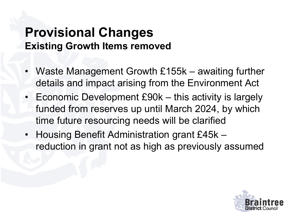### **Provisional Changes Existing Growth Items removed**

- Waste Management Growth £155k awaiting further details and impact arising from the Environment Act
- Economic Development £90k this activity is largely funded from reserves up until March 2024, by which time future resourcing needs will be clarified
- Housing Benefit Administration grant £45k reduction in grant not as high as previously assumed

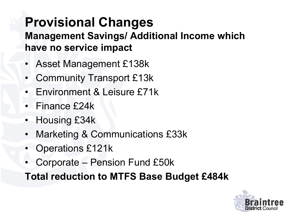#### **Provisional Changes Management Savings/ Additional Income which have no service impact**

- Asset Management £138k
- Community Transport £13k
- Environment & Leisure £71k
- Finance £24k
- Housing £34k
- Marketing & Communications £33k
- Operations £121k
- Corporate Pension Fund £50k

**Total reduction to MTFS Base Budget £484k**

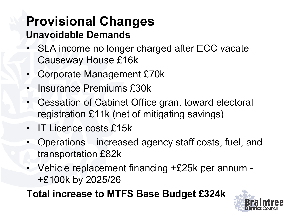# **Provisional Changes**

#### **Unavoidable Demands**

- SLA income no longer charged after ECC vacate Causeway House £16k
- Corporate Management £70k
- Insurance Premiums £30k
- Cessation of Cabinet Office grant toward electoral registration £11k (net of mitigating savings)
- IT Licence costs £15k
- Operations increased agency staff costs, fuel, and transportation £82k
- Vehicle replacement financing +£25k per annum +£100k by 2025/26

**Total increase to MTFS Base Budget £324k**

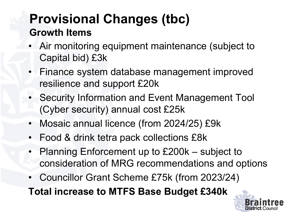# **Provisional Changes (tbc) Growth Items**

- Air monitoring equipment maintenance (subject to Capital bid) £3k
- Finance system database management improved resilience and support £20k
- Security Information and Event Management Tool (Cyber security) annual cost £25k
- Mosaic annual licence (from 2024/25) £9k
- Food & drink tetra pack collections £8k
- Planning Enforcement up to £200k subject to consideration of MRG recommendations and options
- Councillor Grant Scheme £75k (from 2023/24)

**Total increase to MTFS Base Budget £340k**

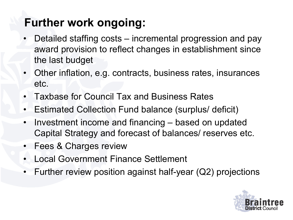# **Further work ongoing:**

- Detailed staffing costs incremental progression and pay award provision to reflect changes in establishment since the last budget
- Other inflation, e.g. contracts, business rates, insurances etc.
- Taxbase for Council Tax and Business Rates
- Estimated Collection Fund balance (surplus/ deficit)
- Investment income and financing based on updated Capital Strategy and forecast of balances/ reserves etc.
- Fees & Charges review
- Local Government Finance Settlement
- Further review position against half-year (Q2) projections

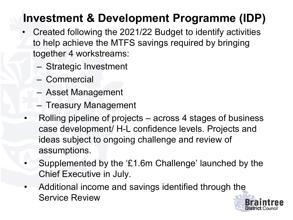# **Investment & Development Programme (IDP)**

- Created following the 2021/22 Budget to identify activities to help achieve the MTFS savings required by bringing together 4 workstreams:
	- Strategic Investment
	- Commercial
	- Asset Management
	- Treasury Management
	- Rolling pipeline of projects across 4 stages of business case development/ H-L confidence levels. Projects and ideas subject to ongoing challenge and review of assumptions.
- Supplemented by the '£1.6m Challenge' launched by the Chief Executive in July.
- Additional income and savings identified through the Service Review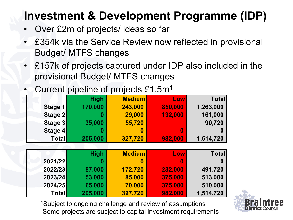# **Investment & Development Programme (IDP)**

- Over £2m of projects/ ideas so far
- £354k via the Service Review now reflected in provisional Budget/ MTFS changes
- £157k of projects captured under IDP also included in the provisional Budget/ MTFS changes
- Current pipeline of projects £1.5m<sup>1</sup>

|              | <b>High</b> | <b>Medium</b> | Low     | <b>Total</b> |
|--------------|-------------|---------------|---------|--------------|
| Stage 1      | 170,000     | 243,000       | 850,000 | 1,263,000    |
| Stage 2      |             | 29,000        | 132,000 | 161,000      |
| Stage 3      | 35,000      | 55,720        |         | 90,720       |
| Stage 4      |             | 0             | 0       |              |
| <b>Total</b> | 205,000     | 327,720       | 982,000 | 1,514,720    |

|         | <b>High</b> | <b>Medium</b> | Low     | <b>Total</b> |
|---------|-------------|---------------|---------|--------------|
| 2021/22 | 0           |               | 0       |              |
| 2022/23 | 87,000      | 172,720       | 232,000 | 491,720      |
| 2023/24 | 53,000      | 85,000        | 375,000 | 513,000      |
| 2024/25 | 65,000      | 70,000        | 375,000 | 510,000      |
| Total   | 205,000     | 327,720       | 982,000 | 1,514,720    |

1Subject to ongoing challenge and review of assumptions Some projects are subject to capital investment requirements